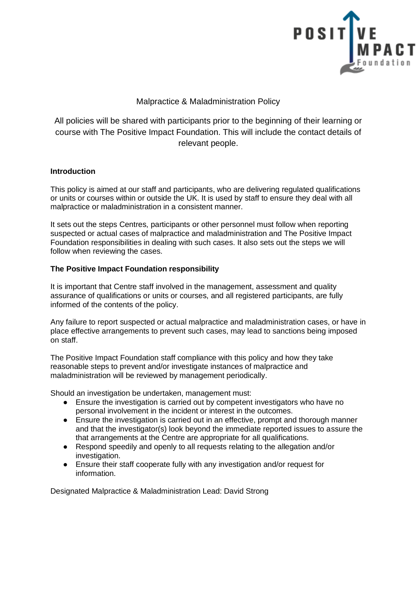

# Malpractice & Maladministration Policy

All policies will be shared with participants prior to the beginning of their learning or course with The Positive Impact Foundation. This will include the contact details of relevant people.

### **Introduction**

This policy is aimed at our staff and participants, who are delivering regulated qualifications or units or courses within or outside the UK. It is used by staff to ensure they deal with all malpractice or maladministration in a consistent manner.

It sets out the steps Centres, participants or other personnel must follow when reporting suspected or actual cases of malpractice and maladministration and The Positive Impact Foundation responsibilities in dealing with such cases. It also sets out the steps we will follow when reviewing the cases.

## **The Positive Impact Foundation responsibility**

It is important that Centre staff involved in the management, assessment and quality assurance of qualifications or units or courses, and all registered participants, are fully informed of the contents of the policy.

Any failure to report suspected or actual malpractice and maladministration cases, or have in place effective arrangements to prevent such cases, may lead to sanctions being imposed on staff.

The Positive Impact Foundation staff compliance with this policy and how they take reasonable steps to prevent and/or investigate instances of malpractice and maladministration will be reviewed by management periodically.

Should an investigation be undertaken, management must:

- Ensure the investigation is carried out by competent investigators who have no personal involvement in the incident or interest in the outcomes.
- Ensure the investigation is carried out in an effective, prompt and thorough manner and that the investigator(s) look beyond the immediate reported issues to assure the that arrangements at the Centre are appropriate for all qualifications.
- Respond speedily and openly to all requests relating to the allegation and/or investigation.
- Ensure their staff cooperate fully with any investigation and/or request for information.

Designated Malpractice & Maladministration Lead: David Strong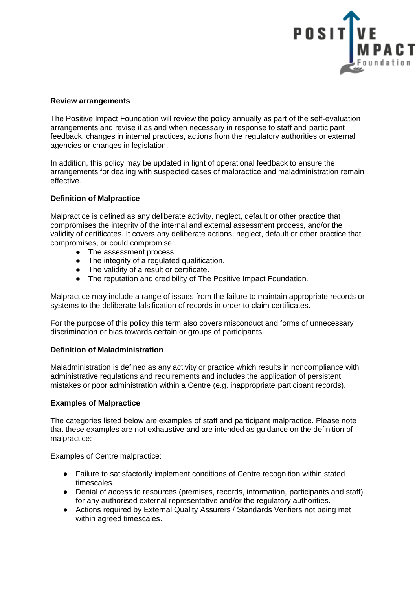

### **Review arrangements**

The Positive Impact Foundation will review the policy annually as part of the self-evaluation arrangements and revise it as and when necessary in response to staff and participant feedback, changes in internal practices, actions from the regulatory authorities or external agencies or changes in legislation.

In addition, this policy may be updated in light of operational feedback to ensure the arrangements for dealing with suspected cases of malpractice and maladministration remain effective.

#### **Definition of Malpractice**

Malpractice is defined as any deliberate activity, neglect, default or other practice that compromises the integrity of the internal and external assessment process, and/or the validity of certificates. It covers any deliberate actions, neglect, default or other practice that compromises, or could compromise:

- The assessment process.
- The integrity of a regulated qualification.
- The validity of a result or certificate.
- The reputation and credibility of The Positive Impact Foundation.

Malpractice may include a range of issues from the failure to maintain appropriate records or systems to the deliberate falsification of records in order to claim certificates.

For the purpose of this policy this term also covers misconduct and forms of unnecessary discrimination or bias towards certain or groups of participants.

#### **Definition of Maladministration**

Maladministration is defined as any activity or practice which results in noncompliance with administrative regulations and requirements and includes the application of persistent mistakes or poor administration within a Centre (e.g. inappropriate participant records).

#### **Examples of Malpractice**

The categories listed below are examples of staff and participant malpractice. Please note that these examples are not exhaustive and are intended as guidance on the definition of malpractice:

Examples of Centre malpractice:

- Failure to satisfactorily implement conditions of Centre recognition within stated timescales.
- Denial of access to resources (premises, records, information, participants and staff) for any authorised external representative and/or the regulatory authorities.
- Actions required by External Quality Assurers / Standards Verifiers not being met within agreed timescales.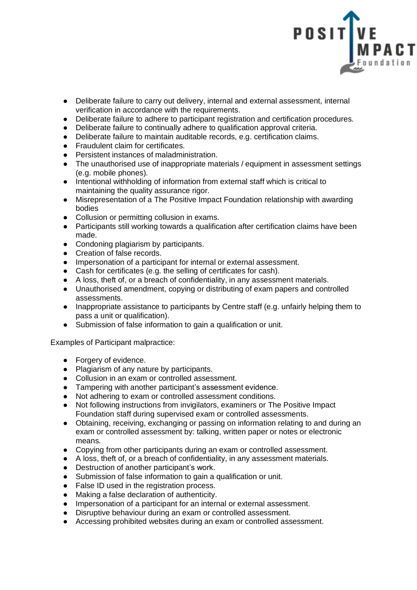

- Deliberate failure to carry out delivery, internal and external assessment, internal verification in accordance with the requirements.
- Deliberate failure to adhere to participant registration and certification procedures.
- Deliberate failure to continually adhere to qualification approval criteria.<br>● Deliberate failure to maintain auditable records. e.g. certification claims
- Deliberate failure to maintain auditable records, e.g. certification claims.
- Fraudulent claim for certificates.
- Persistent instances of maladministration.
- The unauthorised use of inappropriate materials / equipment in assessment settings (e.g. mobile phones).
- Intentional withholding of information from external staff which is critical to maintaining the quality assurance rigor.
- Misrepresentation of a The Positive Impact Foundation relationship with awarding bodies
- Collusion or permitting collusion in exams.
- Participants still working towards a qualification after certification claims have been made.
- Condoning plagiarism by participants.
- Creation of false records.
- Impersonation of a participant for internal or external assessment.
- Cash for certificates (e.g. the selling of certificates for cash).
- A loss, theft of, or a breach of confidentiality, in any assessment materials.
- Unauthorised amendment, copying or distributing of exam papers and controlled assessments.
- Inappropriate assistance to participants by Centre staff (e.g. unfairly helping them to pass a unit or qualification).
- Submission of false information to gain a qualification or unit.

Examples of Participant malpractice:

- Forgery of evidence.
- Plagiarism of any nature by participants.
- Collusion in an exam or controlled assessment.
- Tampering with another participant's assessment evidence.<br>● Not adhering to exam or controlled assessment conditions
- Not adhering to exam or controlled assessment conditions.
- Not following instructions from invigilators, examiners or The Positive Impact Foundation staff during supervised exam or controlled assessments.
- Obtaining, receiving, exchanging or passing on information relating to and during an exam or controlled assessment by: talking, written paper or notes or electronic means.
- Copying from other participants during an exam or controlled assessment.
- A loss, theft of, or a breach of confidentiality, in any assessment materials.
- Destruction of another participant's work.
- Submission of false information to gain a qualification or unit.
- False ID used in the registration process.
- Making a false declaration of authenticity.
- Impersonation of a participant for an internal or external assessment.
- Disruptive behaviour during an exam or controlled assessment.
- Accessing prohibited websites during an exam or controlled assessment.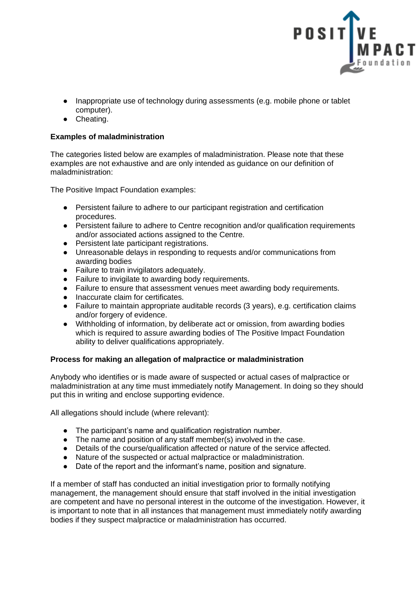

- Inappropriate use of technology during assessments (e.g. mobile phone or tablet computer).
- Cheating.

### **Examples of maladministration**

The categories listed below are examples of maladministration. Please note that these examples are not exhaustive and are only intended as guidance on our definition of maladministration:

The Positive Impact Foundation examples:

- Persistent failure to adhere to our participant registration and certification procedures.
- Persistent failure to adhere to Centre recognition and/or qualification requirements and/or associated actions assigned to the Centre.
- Persistent late participant registrations.
- Unreasonable delays in responding to requests and/or communications from awarding bodies
- Failure to train invigilators adequately.
- Failure to invigilate to awarding body requirements.
- Failure to ensure that assessment venues meet awarding body requirements.
- Inaccurate claim for certificates.
- Failure to maintain appropriate auditable records (3 years), e.g. certification claims and/or forgery of evidence.
- Withholding of information, by deliberate act or omission, from awarding bodies which is required to assure awarding bodies of The Positive Impact Foundation ability to deliver qualifications appropriately.

### **Process for making an allegation of malpractice or maladministration**

Anybody who identifies or is made aware of suspected or actual cases of malpractice or maladministration at any time must immediately notify Management. In doing so they should put this in writing and enclose supporting evidence.

All allegations should include (where relevant):

- The participant's name and qualification registration number.
- The name and position of any staff member(s) involved in the case.
- Details of the course/qualification affected or nature of the service affected.
- Nature of the suspected or actual malpractice or maladministration.
- Date of the report and the informant's name, position and signature.

If a member of staff has conducted an initial investigation prior to formally notifying management, the management should ensure that staff involved in the initial investigation are competent and have no personal interest in the outcome of the investigation. However, it is important to note that in all instances that management must immediately notify awarding bodies if they suspect malpractice or maladministration has occurred.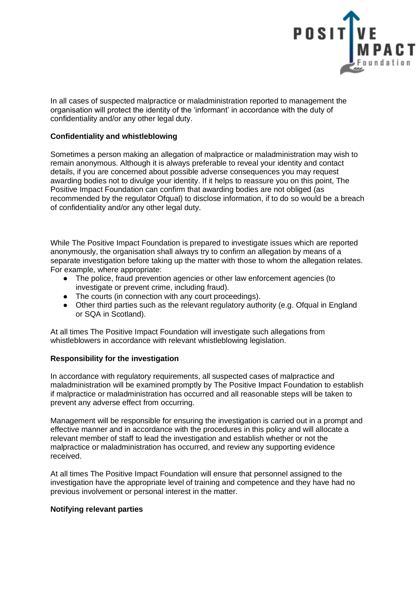

In all cases of suspected malpractice or maladministration reported to management the organisation will protect the identity of the 'informant' in accordance with the duty of confidentiality and/or any other legal duty.

### **Confidentiality and whistleblowing**

Sometimes a person making an allegation of malpractice or maladministration may wish to remain anonymous. Although it is always preferable to reveal your identity and contact details, if you are concerned about possible adverse consequences you may request awarding bodies not to divulge your identity. If it helps to reassure you on this point, The Positive Impact Foundation can confirm that awarding bodies are not obliged (as recommended by the regulator Ofqual) to disclose information, if to do so would be a breach of confidentiality and/or any other legal duty.

While The Positive Impact Foundation is prepared to investigate issues which are reported anonymously, the organisation shall always try to confirm an allegation by means of a separate investigation before taking up the matter with those to whom the allegation relates. For example, where appropriate:

- The police, fraud prevention agencies or other law enforcement agencies (to investigate or prevent crime, including fraud).
- The courts (in connection with any court proceedings).
- Other third parties such as the relevant regulatory authority (e.g. Ofgual in England or SQA in Scotland).

At all times The Positive Impact Foundation will investigate such allegations from whistleblowers in accordance with relevant whistleblowing legislation.

### **Responsibility for the investigation**

In accordance with regulatory requirements, all suspected cases of malpractice and maladministration will be examined promptly by The Positive Impact Foundation to establish if malpractice or maladministration has occurred and all reasonable steps will be taken to prevent any adverse effect from occurring.

Management will be responsible for ensuring the investigation is carried out in a prompt and effective manner and in accordance with the procedures in this policy and will allocate a relevant member of staff to lead the investigation and establish whether or not the malpractice or maladministration has occurred, and review any supporting evidence received.

At all times The Positive Impact Foundation will ensure that personnel assigned to the investigation have the appropriate level of training and competence and they have had no previous involvement or personal interest in the matter.

#### **Notifying relevant parties**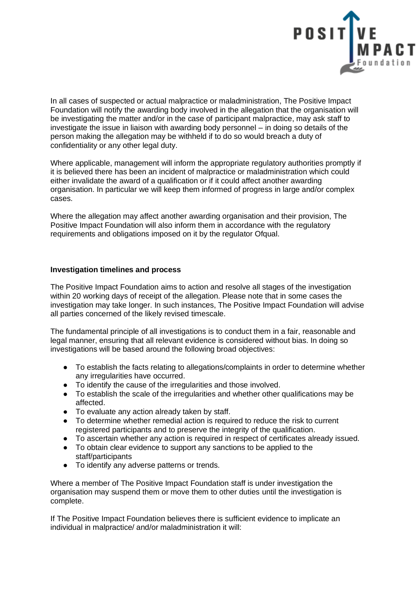

In all cases of suspected or actual malpractice or maladministration, The Positive Impact Foundation will notify the awarding body involved in the allegation that the organisation will be investigating the matter and/or in the case of participant malpractice, may ask staff to investigate the issue in liaison with awarding body personnel – in doing so details of the person making the allegation may be withheld if to do so would breach a duty of confidentiality or any other legal duty.

Where applicable, management will inform the appropriate regulatory authorities promptly if it is believed there has been an incident of malpractice or maladministration which could either invalidate the award of a qualification or if it could affect another awarding organisation. In particular we will keep them informed of progress in large and/or complex cases.

Where the allegation may affect another awarding organisation and their provision, The Positive Impact Foundation will also inform them in accordance with the regulatory requirements and obligations imposed on it by the regulator Ofqual.

#### **Investigation timelines and process**

The Positive Impact Foundation aims to action and resolve all stages of the investigation within 20 working days of receipt of the allegation. Please note that in some cases the investigation may take longer. In such instances, The Positive Impact Foundation will advise all parties concerned of the likely revised timescale.

The fundamental principle of all investigations is to conduct them in a fair, reasonable and legal manner, ensuring that all relevant evidence is considered without bias. In doing so investigations will be based around the following broad objectives:

- To establish the facts relating to allegations/complaints in order to determine whether any irregularities have occurred.
- To identify the cause of the irregularities and those involved.
- To establish the scale of the irregularities and whether other qualifications may be affected.
- To evaluate any action already taken by staff.
- To determine whether remedial action is required to reduce the risk to current registered participants and to preserve the integrity of the qualification.
- To ascertain whether any action is required in respect of certificates already issued.
- To obtain clear evidence to support any sanctions to be applied to the staff/participants
- To identify any adverse patterns or trends.

Where a member of The Positive Impact Foundation staff is under investigation the organisation may suspend them or move them to other duties until the investigation is complete.

If The Positive Impact Foundation believes there is sufficient evidence to implicate an individual in malpractice/ and/or maladministration it will: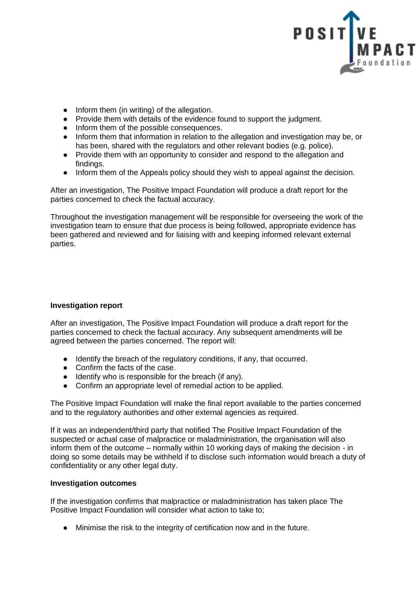

- Inform them (in writing) of the allegation.
- Provide them with details of the evidence found to support the judgment.
- Inform them of the possible consequences.
- Inform them that information in relation to the allegation and investigation may be, or has been, shared with the regulators and other relevant bodies (e.g. police).
- Provide them with an opportunity to consider and respond to the allegation and findings.
- Inform them of the Appeals policy should they wish to appeal against the decision.

After an investigation, The Positive Impact Foundation will produce a draft report for the parties concerned to check the factual accuracy.

Throughout the investigation management will be responsible for overseeing the work of the investigation team to ensure that due process is being followed, appropriate evidence has been gathered and reviewed and for liaising with and keeping informed relevant external parties.

### **Investigation report**

After an investigation, The Positive Impact Foundation will produce a draft report for the parties concerned to check the factual accuracy. Any subsequent amendments will be agreed between the parties concerned. The report will:

- Identify the breach of the regulatory conditions, if any, that occurred.
- Confirm the facts of the case.
- Identify who is responsible for the breach (if any).
- Confirm an appropriate level of remedial action to be applied.

The Positive Impact Foundation will make the final report available to the parties concerned and to the regulatory authorities and other external agencies as required.

If it was an independent/third party that notified The Positive Impact Foundation of the suspected or actual case of malpractice or maladministration, the organisation will also inform them of the outcome – normally within 10 working days of making the decision - in doing so some details may be withheld if to disclose such information would breach a duty of confidentiality or any other legal duty.

### **Investigation outcomes**

If the investigation confirms that malpractice or maladministration has taken place The Positive Impact Foundation will consider what action to take to;

● Minimise the risk to the integrity of certification now and in the future.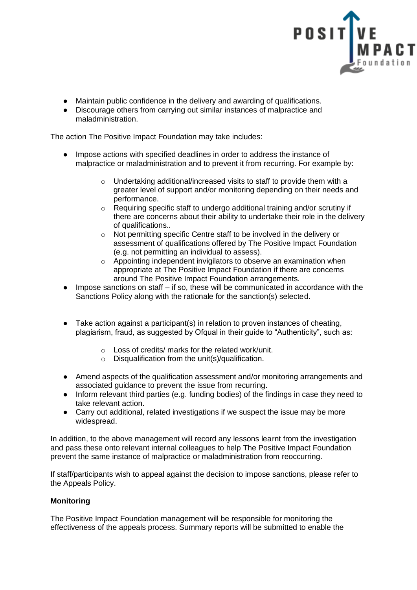

- Maintain public confidence in the delivery and awarding of qualifications.
- Discourage others from carrying out similar instances of malpractice and maladministration.

The action The Positive Impact Foundation may take includes:

- Impose actions with specified deadlines in order to address the instance of malpractice or maladministration and to prevent it from recurring. For example by:
	- o Undertaking additional/increased visits to staff to provide them with a greater level of support and/or monitoring depending on their needs and performance.
	- o Requiring specific staff to undergo additional training and/or scrutiny if there are concerns about their ability to undertake their role in the delivery of qualifications..
	- o Not permitting specific Centre staff to be involved in the delivery or assessment of qualifications offered by The Positive Impact Foundation (e.g. not permitting an individual to assess).
	- o Appointing independent invigilators to observe an examination when appropriate at The Positive Impact Foundation if there are concerns around The Positive Impact Foundation arrangements.
- Impose sanctions on staff if so, these will be communicated in accordance with the Sanctions Policy along with the rationale for the sanction(s) selected.
- Take action against a participant(s) in relation to proven instances of cheating, plagiarism, fraud, as suggested by Ofqual in their guide to "Authenticity", such as:
	- o Loss of credits/ marks for the related work/unit.
	- o Disqualification from the unit(s)/qualification.
- Amend aspects of the qualification assessment and/or monitoring arrangements and associated guidance to prevent the issue from recurring.
- Inform relevant third parties (e.g. funding bodies) of the findings in case they need to take relevant action.
- Carry out additional, related investigations if we suspect the issue may be more widespread.

In addition, to the above management will record any lessons learnt from the investigation and pass these onto relevant internal colleagues to help The Positive Impact Foundation prevent the same instance of malpractice or maladministration from reoccurring.

If staff/participants wish to appeal against the decision to impose sanctions, please refer to the Appeals Policy.

# **Monitoring**

The Positive Impact Foundation management will be responsible for monitoring the effectiveness of the appeals process. Summary reports will be submitted to enable the